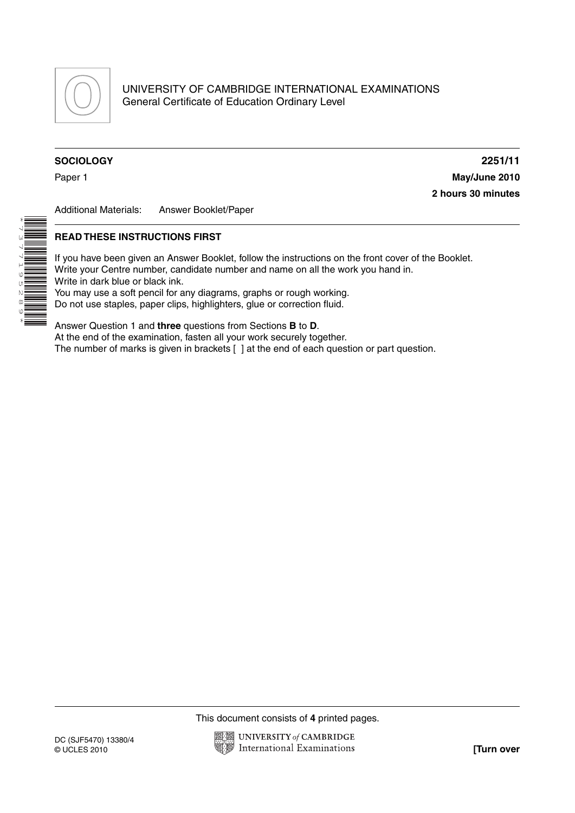

## **SOCIOLOGY 2251/11**

\*

7<br>737

 $\mathsf{P}$ ७<br>७ N  $^{\circ}$  $\begin{array}{c}\n\circ \\
\bullet \\
\hline\n\end{array}$ \*

Paper 1 **May/June 2010 2 hours 30 minutes**

Additional Materials: Answer Booklet/Paper

## **READ THESE INSTRUCTIONS FIRST**

If you have been given an Answer Booklet, follow the instructions on the front cover of the Booklet. Write your Centre number, candidate number and name on all the work you hand in. Write in dark blue or black ink. You may use a soft pencil for any diagrams, graphs or rough working.

Do not use staples, paper clips, highlighters, glue or correction fluid.

Answer Question 1 and **three** questions from Sections **B** to **D**. At the end of the examination, fasten all your work securely together. The number of marks is given in brackets [ ] at the end of each question or part question.

This document consists of **4** printed pages.

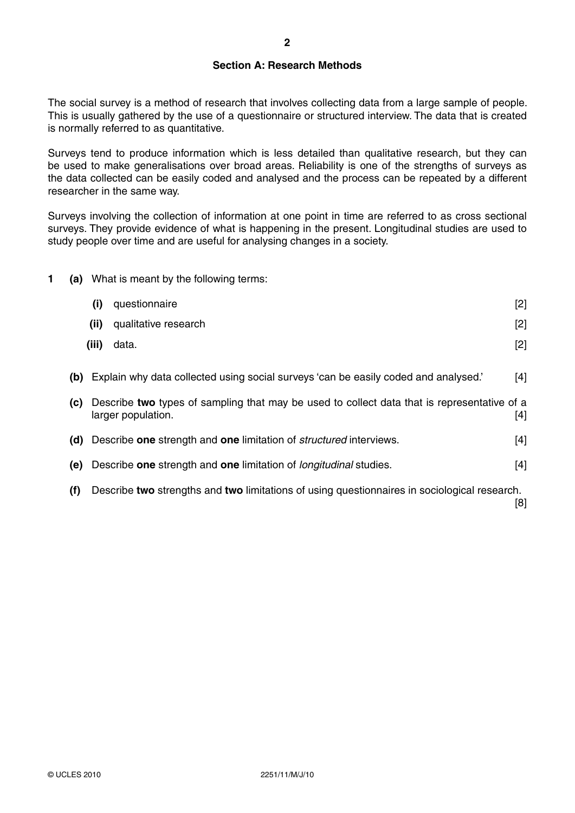## **Section A: Research Methods**

The social survey is a method of research that involves collecting data from a large sample of people. This is usually gathered by the use of a questionnaire or structured interview. The data that is created is normally referred to as quantitative.

Surveys tend to produce information which is less detailed than qualitative research, but they can be used to make generalisations over broad areas. Reliability is one of the strengths of surveys as the data collected can be easily coded and analysed and the process can be repeated by a different researcher in the same way.

Surveys involving the collection of information at one point in time are referred to as cross sectional surveys. They provide evidence of what is happening in the present. Longitudinal studies are used to study people over time and are useful for analysing changes in a society.

**1 (a)** What is meant by the following terms:

|     | (i)   | questionnaire                                                                                                     | $[2]$ |
|-----|-------|-------------------------------------------------------------------------------------------------------------------|-------|
|     | (ii)  | qualitative research                                                                                              | $[2]$ |
|     | (iii) | data.                                                                                                             | $[2]$ |
| (b) |       | Explain why data collected using social surveys 'can be easily coded and analysed.'                               | [4]   |
| (C) |       | Describe two types of sampling that may be used to collect data that is representative of a<br>larger population. | [4]   |
| (d) |       | Describe one strength and one limitation of <i>structured</i> interviews.                                         | [4]   |
| (e) |       | Describe one strength and one limitation of <i>longitudinal</i> studies.                                          | $[4]$ |
| (f) |       | Describe two strengths and two limitations of using questionnaires in sociological research.                      | [8]   |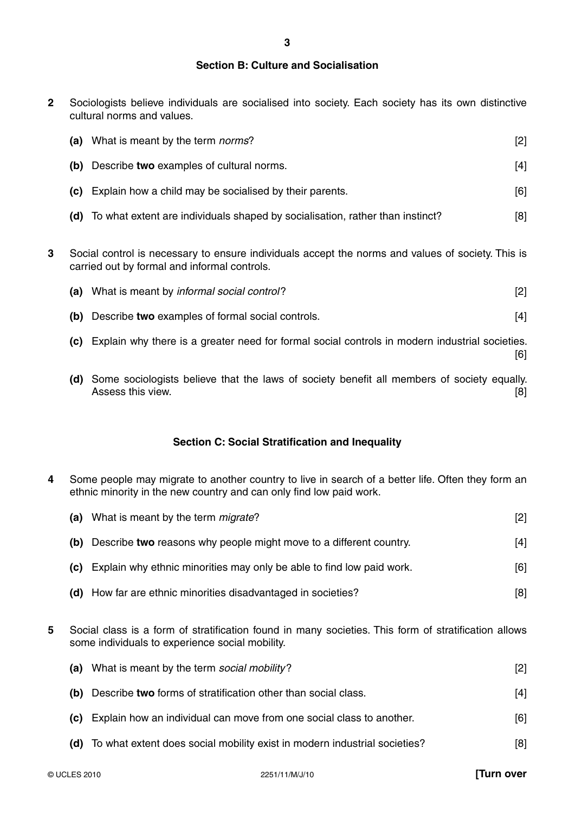#### **Section B: Culture and Socialisation**

**2** Sociologists believe individuals are socialised into society. Each society has its own distinctive cultural norms and values.

|   | (a) | What is meant by the term <i>norms</i> ?                                                                                                          | [2] |
|---|-----|---------------------------------------------------------------------------------------------------------------------------------------------------|-----|
|   | (b) | Describe two examples of cultural norms.                                                                                                          | [4] |
|   | (C) | Explain how a child may be socialised by their parents.                                                                                           | [6] |
|   |     | (d) To what extent are individuals shaped by socialisation, rather than instinct?                                                                 | [8] |
| 3 |     | Social control is necessary to ensure individuals accept the norms and values of society. This is<br>carried out by formal and informal controls. |     |

| (a) | What is meant by informal social control?                                                                       | $[2]$ |
|-----|-----------------------------------------------------------------------------------------------------------------|-------|
| (b) | Describe two examples of formal social controls.                                                                | $[4]$ |
| (C) | Explain why there is a greater need for formal social controls in modern industrial societies.                  | [6]   |
| (d) | Some sociologists believe that the laws of society benefit all members of society equally.<br>Assess this view. |       |

# **Section C: Social Stratification and Inequality**

**4** Some people may migrate to another country to live in search of a better life. Often they form an ethnic minority in the new country and can only find low paid work.

| (a) | What is meant by the term <i>migrate</i> ?                            | [2] |
|-----|-----------------------------------------------------------------------|-----|
| (b) | Describe two reasons why people might move to a different country.    | [4] |
| (C) | Explain why ethnic minorities may only be able to find low paid work. | [6] |
|     | (d) How far are ethnic minorities disadvantaged in societies?         | [8] |
|     |                                                                       |     |

**5** Social class is a form of stratification found in many societies. This form of stratification allows some individuals to experience social mobility.

|      | (a) What is meant by the term social mobility?                                | $\lceil 2 \rceil$ |
|------|-------------------------------------------------------------------------------|-------------------|
| (b)  | Describe two forms of stratification other than social class.                 | [4]               |
| (C). | Explain how an individual can move from one social class to another.          | [6]               |
|      | (d) To what extent does social mobility exist in modern industrial societies? | [8]               |
|      |                                                                               |                   |